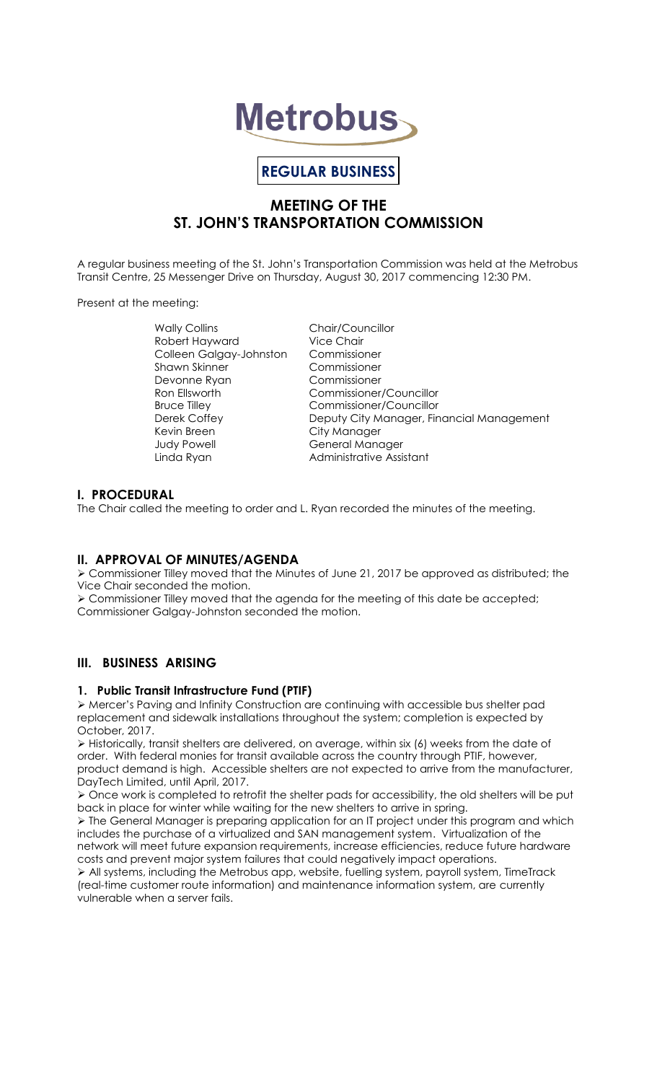# **Metrobus**

# **REGULAR BUSINESS**

## **MEETING OF THE ST. JOHN'S TRANSPORTATION COMMISSION**

A regular business meeting of the St. John's Transportation Commission was held at the Metrobus Transit Centre, 25 Messenger Drive on Thursday, August 30, 2017 commencing 12:30 PM.

Present at the meeting:

Wally Collins Chair/Councillor Robert Hayward Vice Chair Colleen Galgay-Johnston Commissioner Shawn Skinner Commissioner Devonne Ryan Ron Ellsworth Commissioner/Councillor<br>Bruce Tillev Commissioner/Councillor Bruce Tilley Commissioner/Councillor<br>Derek Coffey City Manager, Fire Kevin Breen City Manager Judy Powell General Manager

Deputy City Manager, Financial Management Linda Ryan **Administrative Assistant** 

## **I. PROCEDURAL**

The Chair called the meeting to order and L. Ryan recorded the minutes of the meeting.

## **II. APPROVAL OF MINUTES/AGENDA**

 Commissioner Tilley moved that the Minutes of June 21, 2017 be approved as distributed; the Vice Chair seconded the motion.

 Commissioner Tilley moved that the agenda for the meeting of this date be accepted; Commissioner Galgay-Johnston seconded the motion.

## **III. BUSINESS ARISING**

## **1. Public Transit Infrastructure Fund (PTIF)**

 Mercer's Paving and Infinity Construction are continuing with accessible bus shelter pad replacement and sidewalk installations throughout the system; completion is expected by October, 2017.

 $\triangleright$  Historically, transit shelters are delivered, on average, within six (6) weeks from the date of order. With federal monies for transit available across the country through PTIF, however, product demand is high. Accessible shelters are not expected to arrive from the manufacturer, DayTech Limited, until April, 2017.

 Once work is completed to retrofit the shelter pads for accessibility, the old shelters will be put back in place for winter while waiting for the new shelters to arrive in spring.

 The General Manager is preparing application for an IT project under this program and which includes the purchase of a virtualized and SAN management system. Virtualization of the network will meet future expansion requirements, increase efficiencies, reduce future hardware costs and prevent major system failures that could negatively impact operations.

 $\triangleright$  All systems, including the Metrobus app, website, fuelling system, payroll system, TimeTrack (real-time customer route information) and maintenance information system, are currently vulnerable when a server fails.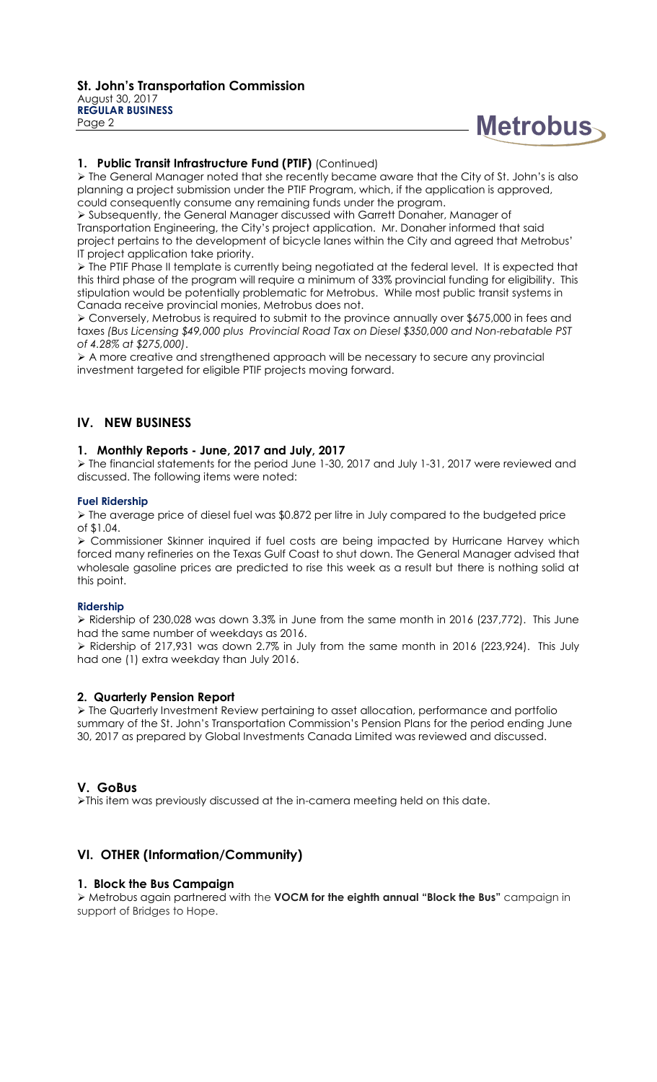

#### **1. Public Transit Infrastructure Fund (PTIF)** (Continued)

 The General Manager noted that she recently became aware that the City of St. John's is also planning a project submission under the PTIF Program, which, if the application is approved, could consequently consume any remaining funds under the program.

 Subsequently, the General Manager discussed with Garrett Donaher, Manager of Transportation Engineering, the City's project application. Mr. Donaher informed that said project pertains to the development of bicycle lanes within the City and agreed that Metrobus' IT project application take priority.

 $\triangleright$  The PTIF Phase II template is currently being negotiated at the federal level. It is expected that this third phase of the program will require a minimum of 33% provincial funding for eligibility. This stipulation would be potentially problematic for Metrobus. While most public transit systems in Canada receive provincial monies, Metrobus does not.

 Conversely, Metrobus is required to submit to the province annually over \$675,000 in fees and taxes *(Bus Licensing \$49,000 plus Provincial Road Tax on Diesel \$350,000 and Non-rebatable PST of 4.28% at \$275,000)*.

 A more creative and strengthened approach will be necessary to secure any provincial investment targeted for eligible PTIF projects moving forward.

## **IV. NEW BUSINESS**

#### **1. Monthly Reports - June, 2017 and July, 2017**

 $\triangleright$  The financial statements for the period June 1-30, 2017 and July 1-31, 2017 were reviewed and discussed. The following items were noted:

#### **Fuel Ridership**

 The average price of diesel fuel was \$0.872 per litre in July compared to the budgeted price of \$1.04.

 Commissioner Skinner inquired if fuel costs are being impacted by Hurricane Harvey which forced many refineries on the Texas Gulf Coast to shut down. The General Manager advised that wholesale gasoline prices are predicted to rise this week as a result but there is nothing solid at this point.

#### **Ridership**

 Ridership of 230,028 was down 3.3% in June from the same month in 2016 (237,772). This June had the same number of weekdays as 2016.

 Ridership of 217,931 was down 2.7% in July from the same month in 2016 (223,924). This July had one (1) extra weekday than July 2016.

#### **2. Quarterly Pension Report**

 The Quarterly Investment Review pertaining to asset allocation, performance and portfolio summary of the St. John's Transportation Commission's Pension Plans for the period ending June 30, 2017 as prepared by Global Investments Canada Limited was reviewed and discussed.

#### **V. GoBus**

This item was previously discussed at the in-camera meeting held on this date.

## **VI. OTHER (Information/Community)**

#### **1. Block the Bus Campaign**

 Metrobus again partnered with the **VOCM for the eighth annual "Block the Bus"** campaign in support of Bridges to Hope.